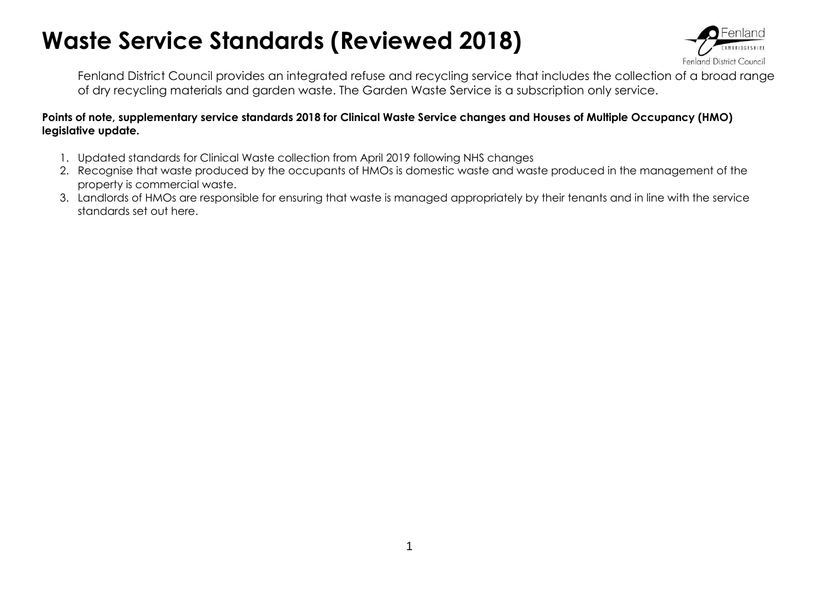## **Waste Service Standards (Reviewed 2018)**



Fenland District Council provides an integrated refuse and recycling service that includes the collection of a broad range of dry recycling materials and garden waste. The Garden Waste Service is a subscription only service.

## **Points of note, supplementary service standards 2018 for Clinical Waste Service changes and Houses of Multiple Occupancy (HMO) legislative update.**

- 1. Updated standards for Clinical Waste collection from April 2019 following NHS changes
- 2. Recognise that waste produced by the occupants of HMOs is domestic waste and waste produced in the management of the property is commercial waste.
- 3. Landlords of HMOs are responsible for ensuring that waste is managed appropriately by their tenants and in line with the service standards set out here.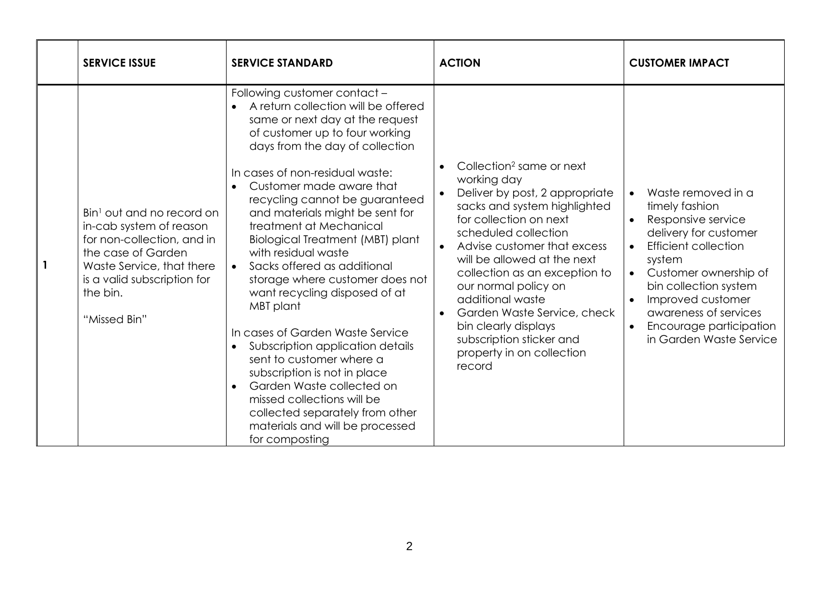| <b>SERVICE ISSUE</b>                                                                                                                                                                                         | <b>SERVICE STANDARD</b>                                                                                                                                                                                                                                                                                                                                                                                                                                                                                                                                                                                                                                                                                                                                                                                                                             | <b>ACTION</b>                                                                                                                                                                                                                                                                                                                                                                                                                                                          | <b>CUSTOMER IMPACT</b>                                                                                                                                                                                                                                                                                                    |
|--------------------------------------------------------------------------------------------------------------------------------------------------------------------------------------------------------------|-----------------------------------------------------------------------------------------------------------------------------------------------------------------------------------------------------------------------------------------------------------------------------------------------------------------------------------------------------------------------------------------------------------------------------------------------------------------------------------------------------------------------------------------------------------------------------------------------------------------------------------------------------------------------------------------------------------------------------------------------------------------------------------------------------------------------------------------------------|------------------------------------------------------------------------------------------------------------------------------------------------------------------------------------------------------------------------------------------------------------------------------------------------------------------------------------------------------------------------------------------------------------------------------------------------------------------------|---------------------------------------------------------------------------------------------------------------------------------------------------------------------------------------------------------------------------------------------------------------------------------------------------------------------------|
| Bin <sup>1</sup> out and no record on<br>in-cab system of reason<br>for non-collection, and in<br>the case of Garden<br>Waste Service, that there<br>is a valid subscription for<br>the bin.<br>"Missed Bin" | Following customer contact -<br>A return collection will be offered<br>same or next day at the request<br>of customer up to four working<br>days from the day of collection<br>In cases of non-residual waste:<br>Customer made aware that<br>recycling cannot be guaranteed<br>and materials might be sent for<br>treatment at Mechanical<br>Biological Treatment (MBT) plant<br>with residual waste<br>Sacks offered as additional<br>$\bullet$<br>storage where customer does not<br>want recycling disposed of at<br>MBT plant<br>In cases of Garden Waste Service<br>Subscription application details<br>$\bullet$<br>sent to customer where a<br>subscription is not in place<br>Garden Waste collected on<br>$\bullet$<br>missed collections will be<br>collected separately from other<br>materials and will be processed<br>for composting | Collection <sup>2</sup> same or next<br>working day<br>Deliver by post, 2 appropriate<br>$\bullet$<br>sacks and system highlighted<br>for collection on next<br>scheduled collection<br>Advise customer that excess<br>will be allowed at the next<br>collection as an exception to<br>our normal policy on<br>additional waste<br>Garden Waste Service, check<br>$\bullet$<br>bin clearly displays<br>subscription sticker and<br>property in on collection<br>record | Waste removed in a<br>$\bullet$<br>timely fashion<br>Responsive service<br>delivery for customer<br><b>Efficient collection</b><br>$\bullet$<br>system<br>Customer ownership of<br>$\bullet$<br>bin collection system<br>Improved customer<br>awareness of services<br>Encourage participation<br>in Garden Waste Service |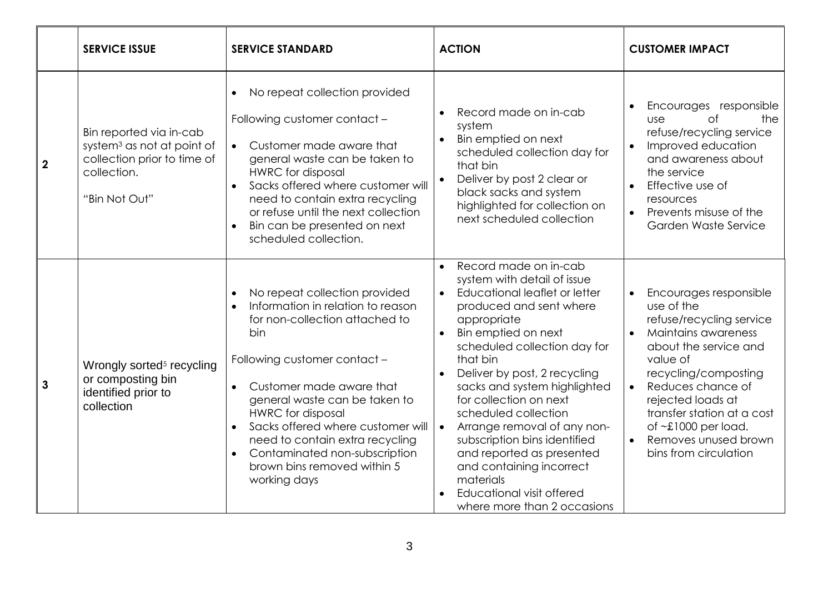|                  | <b>SERVICE ISSUE</b>                                                                                                             | <b>SERVICE STANDARD</b>                                                                                                                                                                                                                                                                                                                                                                      | <b>ACTION</b>                                                                                                                                                                                                                                                                                                                                                                                                                                                                                                                                                                          | <b>CUSTOMER IMPACT</b>                                                                                                                                                                                                                                                                                     |
|------------------|----------------------------------------------------------------------------------------------------------------------------------|----------------------------------------------------------------------------------------------------------------------------------------------------------------------------------------------------------------------------------------------------------------------------------------------------------------------------------------------------------------------------------------------|----------------------------------------------------------------------------------------------------------------------------------------------------------------------------------------------------------------------------------------------------------------------------------------------------------------------------------------------------------------------------------------------------------------------------------------------------------------------------------------------------------------------------------------------------------------------------------------|------------------------------------------------------------------------------------------------------------------------------------------------------------------------------------------------------------------------------------------------------------------------------------------------------------|
| $\boldsymbol{2}$ | Bin reported via in-cab<br>system <sup>3</sup> as not at point of<br>collection prior to time of<br>collection.<br>"Bin Not Out" | No repeat collection provided<br>Following customer contact -<br>• Customer made aware that<br>general waste can be taken to<br><b>HWRC</b> for disposal<br>Sacks offered where customer will<br>$\bullet$<br>need to contain extra recycling<br>or refuse until the next collection<br>Bin can be presented on next<br>scheduled collection.                                                | Record made on in-cab<br>$\bullet$<br>system<br>Bin emptied on next<br>$\bullet$<br>scheduled collection day for<br>that bin<br>Deliver by post 2 clear or<br>$\bullet$<br>black sacks and system<br>highlighted for collection on<br>next scheduled collection                                                                                                                                                                                                                                                                                                                        | Encourages responsible<br><b>of</b><br>the<br>use<br>refuse/recycling service<br>Improved education<br>$\bullet$<br>and awareness about<br>the service<br>Effective use of<br>resources<br>Prevents misuse of the<br>$\bullet$<br>Garden Waste Service                                                     |
| 3                | Wrongly sorted <sup>5</sup> recycling<br>or composting bin<br>identified prior to<br>collection                                  | No repeat collection provided<br>Information in relation to reason<br>for non-collection attached to<br>bin<br>Following customer contact -<br>Customer made aware that<br>general waste can be taken to<br><b>HWRC</b> for disposal<br>Sacks offered where customer will<br>need to contain extra recycling<br>Contaminated non-subscription<br>brown bins removed within 5<br>working days | Record made on in-cab<br>$\bullet$<br>system with detail of issue<br>Educational leaflet or letter<br>$\bullet$<br>produced and sent where<br>appropriate<br>Bin emptied on next<br>$\bullet$<br>scheduled collection day for<br>that bin<br>Deliver by post, 2 recycling<br>$\bullet$<br>sacks and system highlighted<br>for collection on next<br>scheduled collection<br>Arrange removal of any non-<br>$\bullet$<br>subscription bins identified<br>and reported as presented<br>and containing incorrect<br>materials<br>Educational visit offered<br>where more than 2 occasions | Encourages responsible<br>use of the<br>refuse/recycling service<br>Maintains awareness<br>about the service and<br>value of<br>recycling/composting<br>Reduces chance of<br>rejected loads at<br>transfer station at a cost<br>of $\sim$ £1000 per load.<br>Removes unused brown<br>bins from circulation |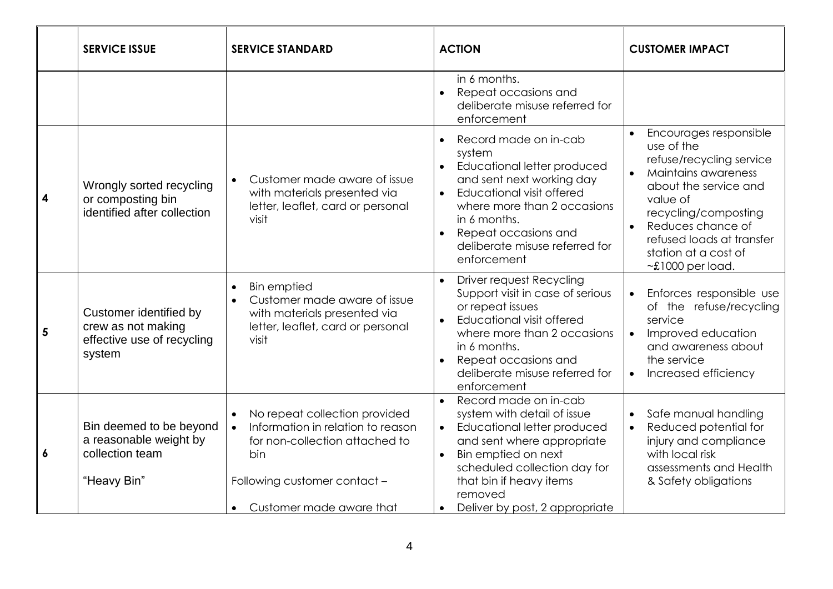|   | <b>SERVICE ISSUE</b>                                                                 | <b>SERVICE STANDARD</b>                                                                                                                                                                           | <b>ACTION</b>                                                                                                                                                                                                                                                                                        | <b>CUSTOMER IMPACT</b>                                                                                                                                                                                                                                                |
|---|--------------------------------------------------------------------------------------|---------------------------------------------------------------------------------------------------------------------------------------------------------------------------------------------------|------------------------------------------------------------------------------------------------------------------------------------------------------------------------------------------------------------------------------------------------------------------------------------------------------|-----------------------------------------------------------------------------------------------------------------------------------------------------------------------------------------------------------------------------------------------------------------------|
|   |                                                                                      |                                                                                                                                                                                                   | in 6 months.<br>Repeat occasions and<br>$\bullet$<br>deliberate misuse referred for<br>enforcement                                                                                                                                                                                                   |                                                                                                                                                                                                                                                                       |
| 4 | Wrongly sorted recycling<br>or composting bin<br>identified after collection         | Customer made aware of issue<br>$\bullet$<br>with materials presented via<br>letter, leaflet, card or personal<br>visit                                                                           | Record made on in-cab<br>$\bullet$<br>system<br>Educational letter produced<br>and sent next working day<br>Educational visit offered<br>$\bullet$<br>where more than 2 occasions<br>in 6 months.<br>Repeat occasions and<br>$\bullet$<br>deliberate misuse referred for<br>enforcement              | Encourages responsible<br>use of the<br>refuse/recycling service<br>Maintains awareness<br>$\bullet$<br>about the service and<br>value of<br>recycling/composting<br>Reduces chance of<br>refused loads at transfer<br>station at a cost of<br>$\sim$ £1000 per load. |
| 5 | Customer identified by<br>crew as not making<br>effective use of recycling<br>system | <b>Bin emptied</b><br>$\bullet$<br>Customer made aware of issue<br>$\bullet$<br>with materials presented via<br>letter, leaflet, card or personal<br>visit                                        | <b>Driver request Recycling</b><br>$\bullet$<br>Support visit in case of serious<br>or repeat issues<br>Educational visit offered<br>$\bullet$<br>where more than 2 occasions<br>in 6 months.<br>Repeat occasions and<br>$\bullet$<br>deliberate misuse referred for<br>enforcement                  | Enforces responsible use<br>of the refuse/recycling<br>service<br>Improved education<br>$\bullet$<br>and awareness about<br>the service<br>Increased efficiency                                                                                                       |
| 6 | Bin deemed to be beyond<br>a reasonable weight by<br>collection team<br>"Heavy Bin"  | No repeat collection provided<br>Information in relation to reason<br>$\bullet$<br>for non-collection attached to<br>bin<br>Following customer contact -<br>Customer made aware that<br>$\bullet$ | Record made on in-cab<br>$\bullet$<br>system with detail of issue<br>Educational letter produced<br>$\bullet$<br>and sent where appropriate<br>Bin emptied on next<br>$\bullet$<br>scheduled collection day for<br>that bin if heavy items<br>removed<br>Deliver by post, 2 appropriate<br>$\bullet$ | Safe manual handling<br>Reduced potential for<br>injury and compliance<br>with local risk<br>assessments and Health<br>& Safety obligations                                                                                                                           |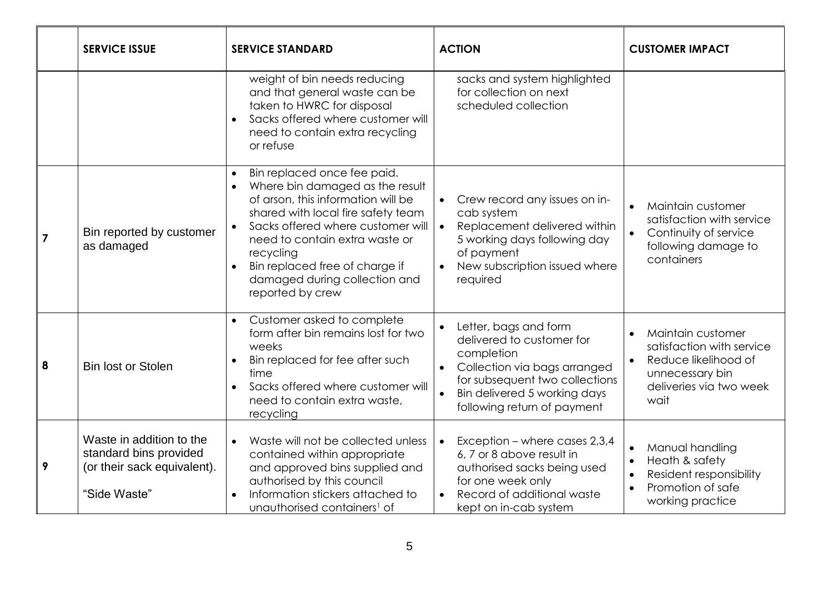|                | <b>SERVICE ISSUE</b>                                                                              | <b>SERVICE STANDARD</b>                                                                                                                                                                                                                                                                                                            | <b>ACTION</b>                                                                                                                                                                                                                            | <b>CUSTOMER IMPACT</b>                                                                                                                                    |
|----------------|---------------------------------------------------------------------------------------------------|------------------------------------------------------------------------------------------------------------------------------------------------------------------------------------------------------------------------------------------------------------------------------------------------------------------------------------|------------------------------------------------------------------------------------------------------------------------------------------------------------------------------------------------------------------------------------------|-----------------------------------------------------------------------------------------------------------------------------------------------------------|
|                |                                                                                                   | weight of bin needs reducing<br>and that general waste can be<br>taken to HWRC for disposal<br>Sacks offered where customer will<br>$\bullet$<br>need to contain extra recycling<br>or refuse                                                                                                                                      | sacks and system highlighted<br>for collection on next<br>scheduled collection                                                                                                                                                           |                                                                                                                                                           |
| $\overline{7}$ | Bin reported by customer<br>as damaged                                                            | Bin replaced once fee paid.<br>Where bin damaged as the result<br>$\bullet$<br>of arson, this information will be<br>shared with local fire safety team<br>Sacks offered where customer will<br>need to contain extra waste or<br>recycling<br>Bin replaced free of charge if<br>damaged during collection and<br>reported by crew | Crew record any issues on in-<br>$\bullet$<br>cab system<br>Replacement delivered within<br>$\bullet$<br>5 working days following day<br>of payment<br>New subscription issued where<br>$\bullet$<br>required                            | Maintain customer<br>$\bullet$<br>satisfaction with service<br>Continuity of service<br>following damage to<br>containers                                 |
| 8              | <b>Bin lost or Stolen</b>                                                                         | Customer asked to complete<br>form after bin remains lost for two<br>weeks<br>Bin replaced for fee after such<br>time<br>Sacks offered where customer will<br>$\bullet$<br>need to contain extra waste,<br>recycling                                                                                                               | Letter, bags and form<br>$\bullet$<br>delivered to customer for<br>completion<br>Collection via bags arranged<br>$\bullet$<br>for subsequent two collections<br>Bin delivered 5 working days<br>$\bullet$<br>following return of payment | Maintain customer<br>$\bullet$<br>satisfaction with service<br>Reduce likelihood of<br>$\bullet$<br>unnecessary bin<br>deliveries via two week<br>wait    |
| 9              | Waste in addition to the<br>standard bins provided<br>(or their sack equivalent).<br>"Side Waste" | Waste will not be collected unless<br>$\bullet$<br>contained within appropriate<br>and approved bins supplied and<br>authorised by this council<br>Information stickers attached to<br>unauthorised containers <sup>1</sup> of                                                                                                     | Exception - where cases 2,3,4<br>$\bullet$<br>6, 7 or 8 above result in<br>authorised sacks being used<br>for one week only<br>Record of additional waste<br>$\bullet$<br>kept on in-cab system                                          | Manual handling<br>$\bullet$<br>Heath & safety<br>$\bullet$<br>Resident responsibility<br>$\bullet$<br>Promotion of safe<br>$\bullet$<br>working practice |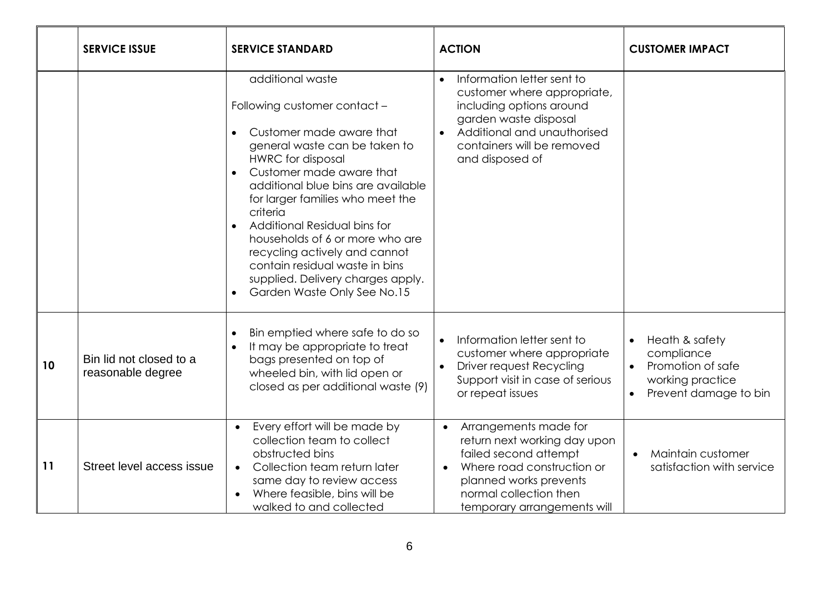|    | <b>SERVICE ISSUE</b>                         | <b>SERVICE STANDARD</b>                                                                                                                                                                                                                                                                                                                                                                                                                                                            | <b>ACTION</b>                                                                                                                                                                                                             | <b>CUSTOMER IMPACT</b>                                                                                      |
|----|----------------------------------------------|------------------------------------------------------------------------------------------------------------------------------------------------------------------------------------------------------------------------------------------------------------------------------------------------------------------------------------------------------------------------------------------------------------------------------------------------------------------------------------|---------------------------------------------------------------------------------------------------------------------------------------------------------------------------------------------------------------------------|-------------------------------------------------------------------------------------------------------------|
|    |                                              | additional waste<br>Following customer contact -<br>Customer made aware that<br>general waste can be taken to<br><b>HWRC</b> for disposal<br>Customer made aware that<br>$\bullet$<br>additional blue bins are available<br>for larger families who meet the<br>criteria<br>Additional Residual bins for<br>households of 6 or more who are<br>recycling actively and cannot<br>contain residual waste in bins<br>supplied. Delivery charges apply.<br>Garden Waste Only See No.15 | Information letter sent to<br>customer where appropriate,<br>including options around<br>garden waste disposal<br>Additional and unauthorised<br>$\bullet$<br>containers will be removed<br>and disposed of               |                                                                                                             |
| 10 | Bin lid not closed to a<br>reasonable degree | Bin emptied where safe to do so<br>It may be appropriate to treat<br>bags presented on top of<br>wheeled bin, with lid open or<br>closed as per additional waste (9)                                                                                                                                                                                                                                                                                                               | Information letter sent to<br>customer where appropriate<br>Driver request Recycling<br>Support visit in case of serious<br>or repeat issues                                                                              | Heath & safety<br>$\bullet$<br>compliance<br>Promotion of safe<br>working practice<br>Prevent damage to bin |
| 11 | Street level access issue                    | Every effort will be made by<br>collection team to collect<br>obstructed bins<br>Collection team return later<br>$\bullet$<br>same day to review access<br>Where feasible, bins will be<br>walked to and collected                                                                                                                                                                                                                                                                 | Arrangements made for<br>$\bullet$<br>return next working day upon<br>failed second attempt<br>Where road construction or<br>$\bullet$<br>planned works prevents<br>normal collection then<br>temporary arrangements will | Maintain customer<br>satisfaction with service                                                              |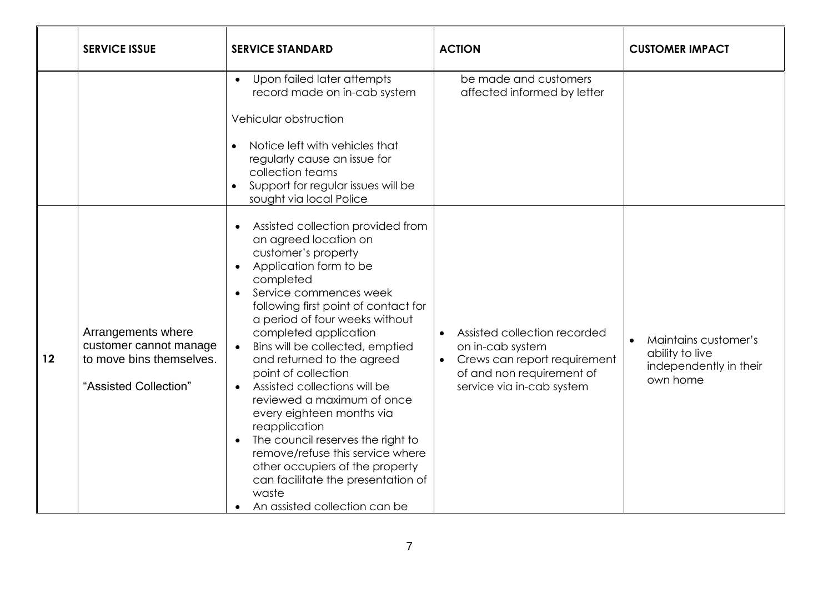|    | <b>SERVICE ISSUE</b>                                                                              | <b>SERVICE STANDARD</b>                                                                                                                                                                                                                                                                                                                                                                                                                                                                                                                                                                                                                                                                      | <b>ACTION</b>                                                                                                                                           | <b>CUSTOMER IMPACT</b>                                                        |
|----|---------------------------------------------------------------------------------------------------|----------------------------------------------------------------------------------------------------------------------------------------------------------------------------------------------------------------------------------------------------------------------------------------------------------------------------------------------------------------------------------------------------------------------------------------------------------------------------------------------------------------------------------------------------------------------------------------------------------------------------------------------------------------------------------------------|---------------------------------------------------------------------------------------------------------------------------------------------------------|-------------------------------------------------------------------------------|
|    |                                                                                                   | Upon failed later attempts<br>record made on in-cab system<br>Vehicular obstruction<br>Notice left with vehicles that<br>regularly cause an issue for<br>collection teams<br>Support for regular issues will be<br>sought via local Police                                                                                                                                                                                                                                                                                                                                                                                                                                                   | be made and customers<br>affected informed by letter                                                                                                    |                                                                               |
| 12 | Arrangements where<br>customer cannot manage<br>to move bins themselves.<br>"Assisted Collection" | Assisted collection provided from<br>an agreed location on<br>customer's property<br>Application form to be<br>completed<br>Service commences week<br>following first point of contact for<br>a period of four weeks without<br>completed application<br>Bins will be collected, emptied<br>$\bullet$<br>and returned to the agreed<br>point of collection<br>Assisted collections will be<br>$\bullet$<br>reviewed a maximum of once<br>every eighteen months via<br>reapplication<br>The council reserves the right to<br>$\bullet$<br>remove/refuse this service where<br>other occupiers of the property<br>can facilitate the presentation of<br>waste<br>An assisted collection can be | Assisted collection recorded<br>on in-cab system<br>Crews can report requirement<br>$\bullet$<br>of and non requirement of<br>service via in-cab system | Maintains customer's<br>ability to live<br>independently in their<br>own home |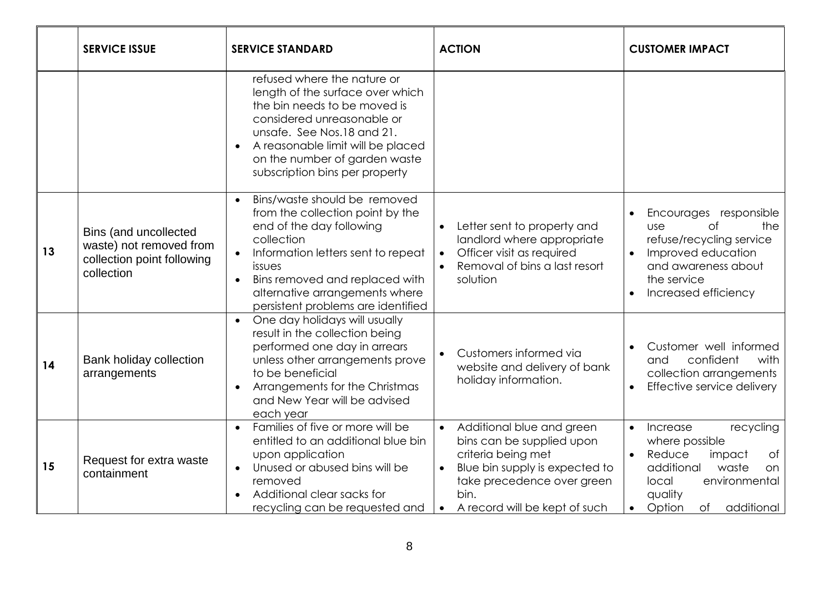|    | <b>SERVICE ISSUE</b>                                                                         | <b>SERVICE STANDARD</b>                                                                                                                                                                                                                                                                                     | <b>ACTION</b>                                                                                                                                                                                                                | <b>CUSTOMER IMPACT</b>                                                                                                                                                                                          |
|----|----------------------------------------------------------------------------------------------|-------------------------------------------------------------------------------------------------------------------------------------------------------------------------------------------------------------------------------------------------------------------------------------------------------------|------------------------------------------------------------------------------------------------------------------------------------------------------------------------------------------------------------------------------|-----------------------------------------------------------------------------------------------------------------------------------------------------------------------------------------------------------------|
|    |                                                                                              | refused where the nature or<br>length of the surface over which<br>the bin needs to be moved is<br>considered unreasonable or<br>unsafe. See Nos.18 and 21.<br>A reasonable limit will be placed<br>on the number of garden waste<br>subscription bins per property                                         |                                                                                                                                                                                                                              |                                                                                                                                                                                                                 |
| 13 | Bins (and uncollected<br>waste) not removed from<br>collection point following<br>collection | Bins/waste should be removed<br>$\bullet$<br>from the collection point by the<br>end of the day following<br>collection<br>Information letters sent to repeat<br>$\bullet$<br>issues<br>Bins removed and replaced with<br>$\bullet$<br>alternative arrangements where<br>persistent problems are identified | Letter sent to property and<br>$\bullet$<br>landlord where appropriate<br>Officer visit as required<br>$\bullet$<br>Removal of bins a last resort<br>solution                                                                | Encourages responsible<br>the<br>$\circ$ f<br><b>USe</b><br>refuse/recycling service<br>Improved education<br>and awareness about<br>the service<br>Increased efficiency                                        |
| 14 | Bank holiday collection<br>arrangements                                                      | One day holidays will usually<br>result in the collection being<br>performed one day in arrears<br>unless other arrangements prove<br>to be beneficial<br>Arrangements for the Christmas<br>and New Year will be advised<br>each year                                                                       | Customers informed via<br>website and delivery of bank<br>holiday information.                                                                                                                                               | Customer well informed<br>confident<br>with<br>and<br>collection arrangements<br>Effective service delivery                                                                                                     |
| 15 | Request for extra waste<br>containment                                                       | Families of five or more will be<br>$\bullet$<br>entitled to an additional blue bin<br>upon application<br>Unused or abused bins will be<br>$\bullet$<br>removed<br>Additional clear sacks for<br>recycling can be requested and                                                                            | Additional blue and green<br>$\bullet$<br>bins can be supplied upon<br>criteria being met<br>Blue bin supply is expected to<br>$\bullet$<br>take precedence over green<br>bin.<br>A record will be kept of such<br>$\bullet$ | recycling<br>Increase<br>$\bullet$<br>where possible<br>Reduce<br>$\circ$ f<br>impact<br>$\bullet$<br>additional<br>waste<br>on<br>environmental<br>local<br>quality<br>additional<br>Option<br>of<br>$\bullet$ |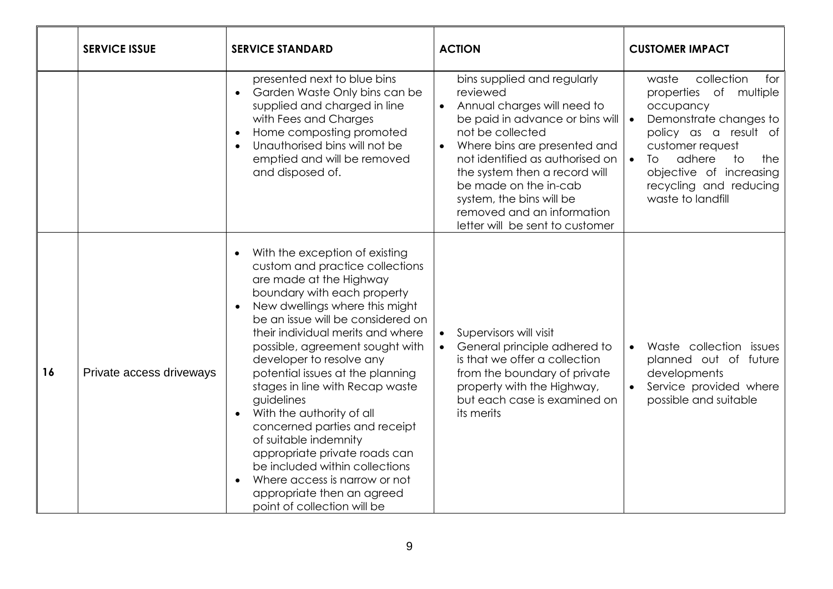|    | <b>SERVICE ISSUE</b>     | <b>SERVICE STANDARD</b>                                                                                                                                                                                                                                                                                                                                                                                                                                                                                                                                                                                                                                          | <b>ACTION</b>                                                                                                                                                                                                                                                                                                                                                                     | <b>CUSTOMER IMPACT</b>                                                                                                                                                                                                                                                                   |
|----|--------------------------|------------------------------------------------------------------------------------------------------------------------------------------------------------------------------------------------------------------------------------------------------------------------------------------------------------------------------------------------------------------------------------------------------------------------------------------------------------------------------------------------------------------------------------------------------------------------------------------------------------------------------------------------------------------|-----------------------------------------------------------------------------------------------------------------------------------------------------------------------------------------------------------------------------------------------------------------------------------------------------------------------------------------------------------------------------------|------------------------------------------------------------------------------------------------------------------------------------------------------------------------------------------------------------------------------------------------------------------------------------------|
|    |                          | presented next to blue bins<br>Garden Waste Only bins can be<br>$\bullet$<br>supplied and charged in line<br>with Fees and Charges<br>Home composting promoted<br>Unauthorised bins will not be<br>emptied and will be removed<br>and disposed of.                                                                                                                                                                                                                                                                                                                                                                                                               | bins supplied and regularly<br>reviewed<br>Annual charges will need to<br>$\bullet$<br>be paid in advance or bins will<br>not be collected<br>Where bins are presented and<br>$\bullet$<br>not identified as authorised on<br>the system then a record will<br>be made on the in-cab<br>system, the bins will be<br>removed and an information<br>letter will be sent to customer | collection<br>waste<br>for<br>properties of multiple<br>occupancy<br>Demonstrate changes to<br>$\overline{\phantom{a}}$<br>policy as a result of<br>customer request<br>$\bullet$<br>adhere<br>to<br>the<br>To<br>objective of increasing<br>recycling and reducing<br>waste to landfill |
| 16 | Private access driveways | With the exception of existing<br>custom and practice collections<br>are made at the Highway<br>boundary with each property<br>New dwellings where this might<br>be an issue will be considered on<br>their individual merits and where<br>possible, agreement sought with<br>developer to resolve any<br>potential issues at the planning<br>stages in line with Recap waste<br>guidelines<br>With the authority of all<br>$\bullet$<br>concerned parties and receipt<br>of suitable indemnity<br>appropriate private roads can<br>be included within collections<br>Where access is narrow or not<br>appropriate then an agreed<br>point of collection will be | Supervisors will visit<br>$\bullet$<br>General principle adhered to<br>is that we offer a collection<br>from the boundary of private<br>property with the Highway,<br>but each case is examined on<br>its merits                                                                                                                                                                  | Waste collection issues<br>$\bullet$<br>planned out of future<br>developments<br>Service provided where<br>possible and suitable                                                                                                                                                         |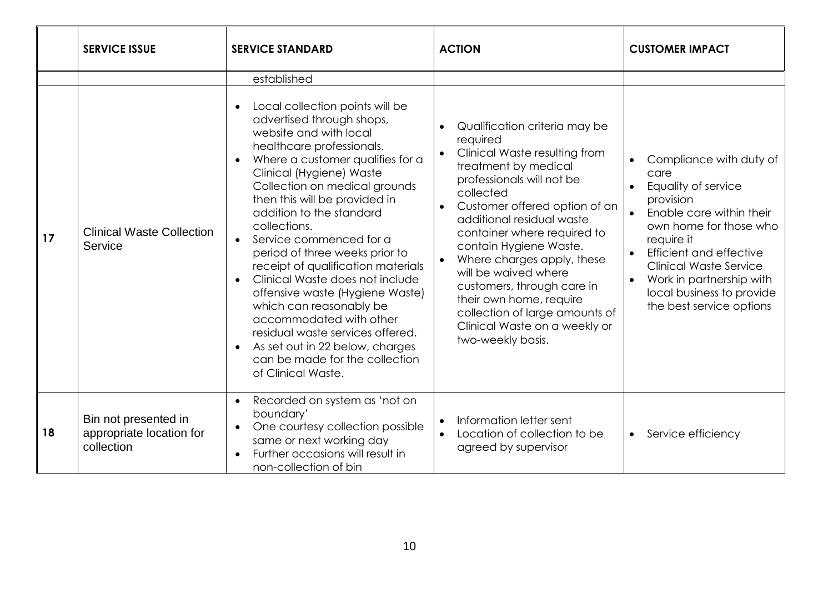|    | <b>SERVICE ISSUE</b>                                           | <b>SERVICE STANDARD</b>                                                                                                                                                                                                                                                                                                                                                                                                                                                                                                                                                                                                                                                                                                          | <b>ACTION</b>                                                                                                                                                                                                                                                                                                                                                                                                                                                              | <b>CUSTOMER IMPACT</b>                                                                                                                                                                                                                                                                                                    |
|----|----------------------------------------------------------------|----------------------------------------------------------------------------------------------------------------------------------------------------------------------------------------------------------------------------------------------------------------------------------------------------------------------------------------------------------------------------------------------------------------------------------------------------------------------------------------------------------------------------------------------------------------------------------------------------------------------------------------------------------------------------------------------------------------------------------|----------------------------------------------------------------------------------------------------------------------------------------------------------------------------------------------------------------------------------------------------------------------------------------------------------------------------------------------------------------------------------------------------------------------------------------------------------------------------|---------------------------------------------------------------------------------------------------------------------------------------------------------------------------------------------------------------------------------------------------------------------------------------------------------------------------|
|    |                                                                | established                                                                                                                                                                                                                                                                                                                                                                                                                                                                                                                                                                                                                                                                                                                      |                                                                                                                                                                                                                                                                                                                                                                                                                                                                            |                                                                                                                                                                                                                                                                                                                           |
| 17 | <b>Clinical Waste Collection</b><br>Service                    | Local collection points will be<br>$\bullet$<br>advertised through shops,<br>website and with local<br>healthcare professionals.<br>Where a customer qualifies for a<br>$\bullet$<br>Clinical (Hygiene) Waste<br>Collection on medical grounds<br>then this will be provided in<br>addition to the standard<br>collections.<br>Service commenced for a<br>$\bullet$<br>period of three weeks prior to<br>receipt of qualification materials<br>Clinical Waste does not include<br>$\bullet$<br>offensive waste (Hygiene Waste)<br>which can reasonably be<br>accommodated with other<br>residual waste services offered.<br>As set out in 22 below, charges<br>$\bullet$<br>can be made for the collection<br>of Clinical Waste. | Qualification criteria may be<br>required<br>Clinical Waste resulting from<br>treatment by medical<br>professionals will not be<br>collected<br>Customer offered option of an<br>additional residual waste<br>container where required to<br>contain Hygiene Waste.<br>Where charges apply, these<br>will be waived where<br>customers, through care in<br>their own home, require<br>collection of large amounts of<br>Clinical Waste on a weekly or<br>two-weekly basis. | Compliance with duty of<br>care<br>Equality of service<br>provision<br>Enable care within their<br>own home for those who<br>require it<br><b>Efficient and effective</b><br>$\bullet$<br><b>Clinical Waste Service</b><br>Work in partnership with<br>$\bullet$<br>local business to provide<br>the best service options |
| 18 | Bin not presented in<br>appropriate location for<br>collection | Recorded on system as 'not on<br>$\bullet$<br>boundary'<br>One courtesy collection possible<br>$\bullet$<br>same or next working day<br>Further occasions will result in<br>$\bullet$<br>non-collection of bin                                                                                                                                                                                                                                                                                                                                                                                                                                                                                                                   | Information letter sent<br>$\bullet$<br>Location of collection to be<br>agreed by supervisor                                                                                                                                                                                                                                                                                                                                                                               | Service efficiency<br>$\bullet$                                                                                                                                                                                                                                                                                           |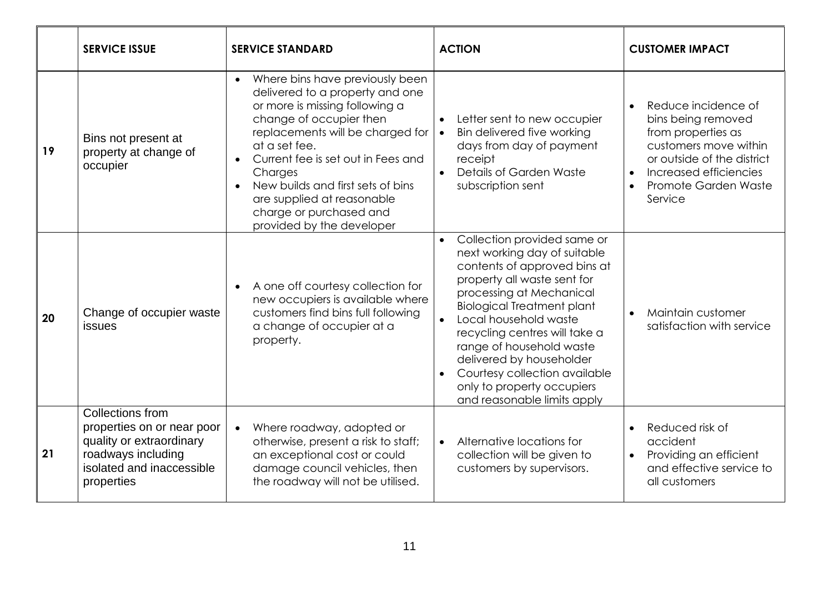|    | <b>SERVICE ISSUE</b>                                                                                                                               | <b>SERVICE STANDARD</b>                                                                                                                                                                                                                                                                                                                                          | <b>ACTION</b>                                                                                                                                                                                                                                                                                                                                                                                                                                      | <b>CUSTOMER IMPACT</b>                                                                                                                                                                           |
|----|----------------------------------------------------------------------------------------------------------------------------------------------------|------------------------------------------------------------------------------------------------------------------------------------------------------------------------------------------------------------------------------------------------------------------------------------------------------------------------------------------------------------------|----------------------------------------------------------------------------------------------------------------------------------------------------------------------------------------------------------------------------------------------------------------------------------------------------------------------------------------------------------------------------------------------------------------------------------------------------|--------------------------------------------------------------------------------------------------------------------------------------------------------------------------------------------------|
| 19 | Bins not present at<br>property at change of<br>occupier                                                                                           | Where bins have previously been<br>delivered to a property and one<br>or more is missing following a<br>change of occupier then<br>replacements will be charged for<br>at a set fee.<br>Current fee is set out in Fees and<br>Charges<br>New builds and first sets of bins<br>are supplied at reasonable<br>charge or purchased and<br>provided by the developer | Letter sent to new occupier<br>$\bullet$<br>Bin delivered five working<br>$\bullet$<br>days from day of payment<br>receipt<br>Details of Garden Waste<br>$\bullet$<br>subscription sent                                                                                                                                                                                                                                                            | Reduce incidence of<br>$\bullet$<br>bins being removed<br>from properties as<br>customers move within<br>or outside of the district<br>Increased efficiencies<br>Promote Garden Waste<br>Service |
| 20 | Change of occupier waste<br><b>issues</b>                                                                                                          | A one off courtesy collection for<br>new occupiers is available where<br>customers find bins full following<br>a change of occupier at a<br>property.                                                                                                                                                                                                            | Collection provided same or<br>$\bullet$<br>next working day of suitable<br>contents of approved bins at<br>property all waste sent for<br>processing at Mechanical<br><b>Biological Treatment plant</b><br>Local household waste<br>$\bullet$<br>recycling centres will take a<br>range of household waste<br>delivered by householder<br>Courtesy collection available<br>$\bullet$<br>only to property occupiers<br>and reasonable limits apply | Maintain customer<br>satisfaction with service                                                                                                                                                   |
| 21 | <b>Collections from</b><br>properties on or near poor<br>quality or extraordinary<br>roadways including<br>isolated and inaccessible<br>properties | Where roadway, adopted or<br>$\bullet$<br>otherwise, present a risk to staff;<br>an exceptional cost or could<br>damage council vehicles, then<br>the roadway will not be utilised.                                                                                                                                                                              | Alternative locations for<br>$\bullet$<br>collection will be given to<br>customers by supervisors.                                                                                                                                                                                                                                                                                                                                                 | Reduced risk of<br>accident<br>Providing an efficient<br>$\bullet$<br>and effective service to<br>all customers                                                                                  |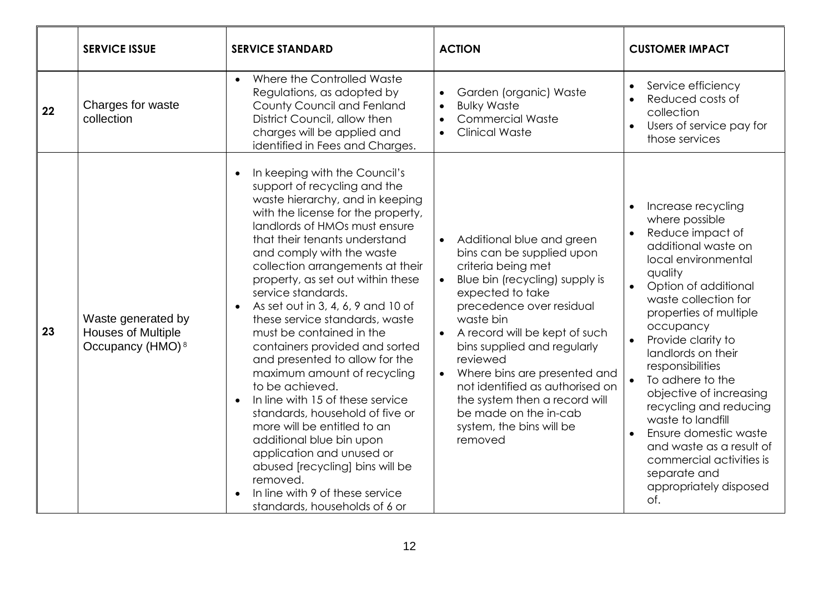|    | <b>SERVICE ISSUE</b>                                                            | <b>SERVICE STANDARD</b>                                                                                                                                                                                                                                                                                                                                                                                                                                                                                                                                                                                                                                                                                                                                                                                                                                       | <b>ACTION</b>                                                                                                                                                                                                                                                                                                                                                                                                                                                                   | <b>CUSTOMER IMPACT</b>                                                                                                                                                                                                                                                                                                                                                                                                                                                                                                |
|----|---------------------------------------------------------------------------------|---------------------------------------------------------------------------------------------------------------------------------------------------------------------------------------------------------------------------------------------------------------------------------------------------------------------------------------------------------------------------------------------------------------------------------------------------------------------------------------------------------------------------------------------------------------------------------------------------------------------------------------------------------------------------------------------------------------------------------------------------------------------------------------------------------------------------------------------------------------|---------------------------------------------------------------------------------------------------------------------------------------------------------------------------------------------------------------------------------------------------------------------------------------------------------------------------------------------------------------------------------------------------------------------------------------------------------------------------------|-----------------------------------------------------------------------------------------------------------------------------------------------------------------------------------------------------------------------------------------------------------------------------------------------------------------------------------------------------------------------------------------------------------------------------------------------------------------------------------------------------------------------|
| 22 | Charges for waste<br>collection                                                 | Where the Controlled Waste<br>$\bullet$<br>Regulations, as adopted by<br>County Council and Fenland<br>District Council, allow then<br>charges will be applied and<br>identified in Fees and Charges.                                                                                                                                                                                                                                                                                                                                                                                                                                                                                                                                                                                                                                                         | Garden (organic) Waste<br>$\bullet$<br><b>Bulky Waste</b><br>$\bullet$<br><b>Commercial Waste</b><br>$\bullet$<br><b>Clinical Waste</b><br>$\bullet$                                                                                                                                                                                                                                                                                                                            | Service efficiency<br>Reduced costs of<br>$\bullet$<br>collection<br>Users of service pay for<br>those services                                                                                                                                                                                                                                                                                                                                                                                                       |
| 23 | Waste generated by<br><b>Houses of Multiple</b><br>Occupancy (HMO) <sup>8</sup> | In keeping with the Council's<br>support of recycling and the<br>waste hierarchy, and in keeping<br>with the license for the property,<br>landlords of HMOs must ensure<br>that their tenants understand<br>and comply with the waste<br>collection arrangements at their<br>property, as set out within these<br>service standards.<br>As set out in 3, 4, 6, 9 and 10 of<br>these service standards, waste<br>must be contained in the<br>containers provided and sorted<br>and presented to allow for the<br>maximum amount of recycling<br>to be achieved.<br>In line with 15 of these service<br>$\bullet$<br>standards, household of five or<br>more will be entitled to an<br>additional blue bin upon<br>application and unused or<br>abused [recycling] bins will be<br>removed.<br>In line with 9 of these service<br>standards, households of 6 or | Additional blue and green<br>$\bullet$<br>bins can be supplied upon<br>criteria being met<br>Blue bin (recycling) supply is<br>$\bullet$<br>expected to take<br>precedence over residual<br>waste bin<br>A record will be kept of such<br>$\bullet$<br>bins supplied and regularly<br>reviewed<br>Where bins are presented and<br>$\bullet$<br>not identified as authorised on<br>the system then a record will<br>be made on the in-cab<br>system, the bins will be<br>removed | Increase recycling<br>where possible<br>Reduce impact of<br>additional waste on<br>local environmental<br>quality<br>Option of additional<br>waste collection for<br>properties of multiple<br>occupancy<br>Provide clarity to<br>landlords on their<br>responsibilities<br>To adhere to the<br>objective of increasing<br>recycling and reducing<br>waste to landfill<br>Ensure domestic waste<br>$\bullet$<br>and waste as a result of<br>commercial activities is<br>separate and<br>appropriately disposed<br>of. |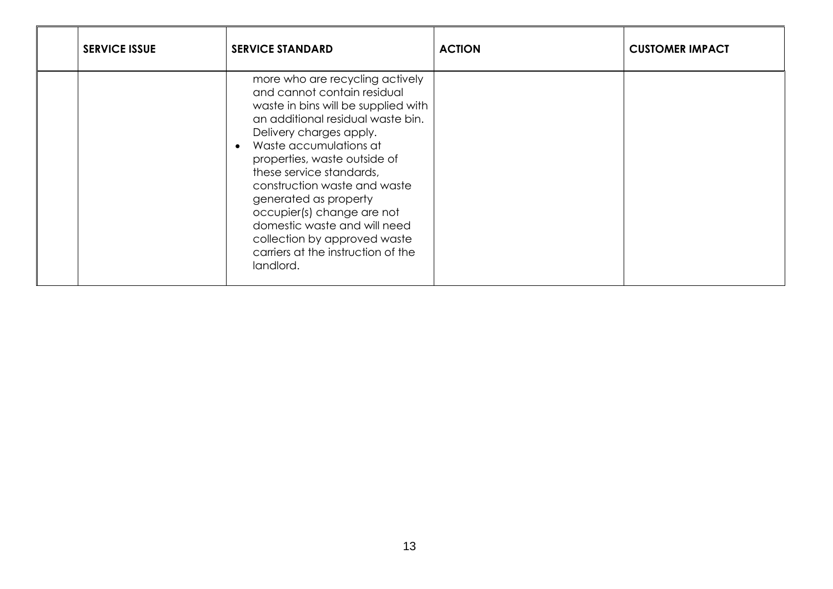| <b>SERVICE ISSUE</b> | <b>SERVICE STANDARD</b>                                                                                                                                                                                                                                                                                                                                                                                                                                                            | <b>ACTION</b> | <b>CUSTOMER IMPACT</b> |
|----------------------|------------------------------------------------------------------------------------------------------------------------------------------------------------------------------------------------------------------------------------------------------------------------------------------------------------------------------------------------------------------------------------------------------------------------------------------------------------------------------------|---------------|------------------------|
|                      | more who are recycling actively<br>and cannot contain residual<br>waste in bins will be supplied with<br>an additional residual waste bin.<br>Delivery charges apply.<br>Waste accumulations at<br>$\bullet$<br>properties, waste outside of<br>these service standards,<br>construction waste and waste<br>generated as property<br>occupier(s) change are not<br>domestic waste and will need<br>collection by approved waste<br>carriers at the instruction of the<br>landlord. |               |                        |